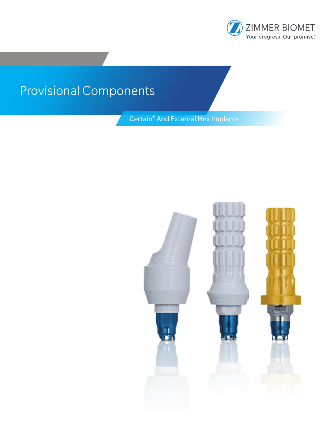

# Provisional Components

Certain® And External Hex Implants

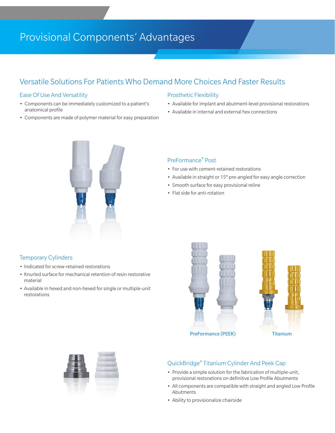# Provisional Components' Advantages

### Versatile Solutions For Patients Who Demand More Choices And Faster Results

#### Ease Of Use And Versatility

- Components can be immediately customized to a patient's anatomical profile
- Components are made of polymer material for easy preparation

#### Prosthetic Flexibility

- Available for implant and abutment-level provisional restorations
- Available in internal and external hex connections



#### PreFormance® Post

- For use with cement-retained restorations
- Available in straight or 15° pre-angled for easy angle correction
- Smooth surface for easy provisional reline
- Flat side for anti-rotation

#### Temporary Cylinders

- Indicated for screw-retained restorations
- Knurled surface for mechanical retention of resin restorative material
- Available in hexed and non-hexed for single or multiple-unit restorations



PreFormance (PEEK) Titanium



#### QuickBridge® Titanium Cylinder And Peek Cap

- Provide a simple solution for the fabrication of multiple-unit, provisional restorations on definitive Low Profile Abutments
- All components are compatible with straight and angled Low Profile Abutments
- Ability to provisionalize chairside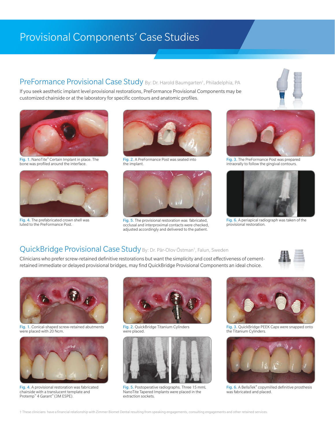# Provisional Components' Case Studies

### PreFormance Provisional Case Study By: Dr. Harold Baumgarten<sup>t</sup>, Philadelphia, PA

If you seek aesthetic implant level provisional restorations, PreFormance Provisional Components may be customized chairside or at the laboratory for specific contours and anatomic profiles.



Fig. 1. NanoTite® Certain Implant in place. The bone was profiled around the interface.



Fig. 4. The prefabricated crown shell was luted to the PreFormance Post.



Fig. 2. A PreFormance Post was seated into the implant.



Fig. 5. The provisional restoration was fabricated, occlusal and interproximal contacts were checked, adjusted accordingly and delivered to the patient.



Fig. 3. The PreFormance Post was prepared intraorally to follow the gingival contours.



Fig. 6. A periapical radiograph was taken of the provisional restoration.

### QuickBridge Provisional Case Study By: Dr. Pär-Olov Östman<sup>t</sup>, Falun, Sweden

Clinicians who prefer screw-retained definitive restorations but want the simplicity and cost effectiveness of cementretained immediate or delayed provisional bridges, may find QuickBridge Provisional Components an ideal choice.





Fig. 1. Conical-shaped screw-retained abutments<br>were placed with 20 Ncm.



Fig. 4. A provisional restoration was fabricated chairside with a translucent template and Protemp™ 4 Garant™ (3M ESPE).



Fig. 2. QuickBridge Titanium Cylinders were placed



Fig. 5. Postoperative radiographs. Three 15 mmL NanoTite Tapered Implants were placed in the extraction sockets.



Fig. 3. QuickBridge PEEK Caps were snapped onto the Titanium Cylinders.



Fig. 6. A BellaTek® copymilled definitive prosthesis was fabricated and placed.